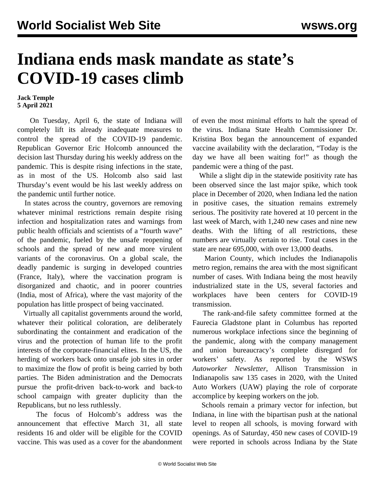## **Indiana ends mask mandate as state's COVID-19 cases climb**

## **Jack Temple 5 April 2021**

 On Tuesday, April 6, the state of Indiana will completely lift its already inadequate measures to control the spread of the COVID-19 pandemic. Republican Governor Eric Holcomb announced the decision last Thursday during his weekly address on the pandemic. This is despite rising infections in the state, as in most of the US. Holcomb also said last Thursday's event would be his last weekly address on the pandemic until further notice.

 In states across the country, governors are removing whatever minimal restrictions remain despite rising infection and hospitalization rates and warnings from public health officials and scientists of a "fourth wave" of the pandemic, fueled by the unsafe reopening of schools and the spread of new and more virulent variants of the coronavirus. On a global scale, the deadly pandemic is surging in developed countries (France, Italy), where the vaccination program is disorganized and chaotic, and in poorer countries (India, most of Africa), where the vast majority of the population has little prospect of being vaccinated.

 Virtually all capitalist governments around the world, whatever their political coloration, are deliberately subordinating the containment and eradication of the virus and the protection of human life to the profit interests of the corporate-financial elites. In the US, the herding of workers back onto unsafe job sites in order to maximize the flow of profit is being carried by both parties. The Biden administration and the Democrats pursue the profit-driven back-to-work and back-to school campaign with greater duplicity than the Republicans, but no less ruthlessly.

 The focus of Holcomb's address was the announcement that effective March 31, all state residents 16 and older will be eligible for the COVID vaccine. This was used as a cover for the abandonment of even the most minimal efforts to halt the spread of the virus. Indiana State Health Commissioner Dr. Kristina Box began the announcement of expanded vaccine availability with the declaration, "Today is the day we have all been waiting for!" as though the pandemic were a thing of the past.

 While a slight dip in the statewide positivity rate has been observed since the last major spike, which took place in December of 2020, when Indiana led the nation in positive cases, the situation remains extremely serious. The positivity rate hovered at 10 percent in the last week of March, with 1,240 new cases and nine new deaths. With the lifting of all restrictions, these numbers are virtually certain to rise. Total cases in the state are near 695,000, with over 13,000 deaths.

 Marion County, which includes the Indianapolis metro region, remains the area with the most significant number of cases. With Indiana being the most heavily industrialized state in the US, several factories and workplaces have been centers for COVID-19 transmission.

 The rank-and-file safety committee formed at the [Faurecia Gladstone](/en/articles/2020/08/14/faur-a14.html) plant in Columbus has reported numerous workplace infections since the beginning of the pandemic, along with the company management and union bureaucracy's complete disregard for workers' safety. As reported by the WSWS *Autoworker Newsletter*, Allison Transmission in Indianapolis saw 135 cases in 2020, with the United Auto Workers (UAW) playing the role of corporate accomplice by keeping workers on the job.

 Schools remain a primary vector for infection, but Indiana, in line with the bipartisan push at the national level to reopen all schools, is moving forward with openings. As of Saturday, 450 new cases of COVID-19 were reported in schools across Indiana by the State